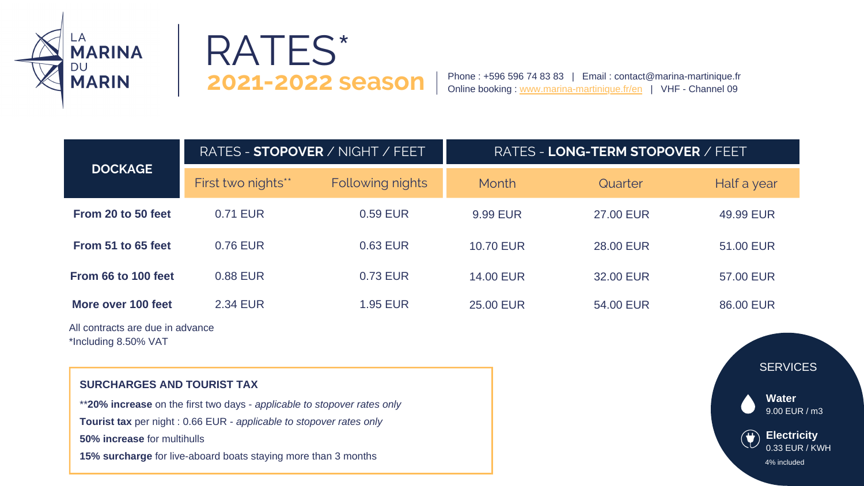|                                  | RATES - STOPOVER / NIGHT / FEET |                  | <b>RATES</b>     |  |
|----------------------------------|---------------------------------|------------------|------------------|--|
| <b>DOCKAGE</b>                   | First two nights**              | Following nights | Month            |  |
| From 20 to 50 feet               | 0.71 EUR                        | 0.59 EUR         | <b>9.99 EUR</b>  |  |
| From 51 to 65 feet               | 0.76 EUR                        | 0.63 EUR         | <b>10.70 EUR</b> |  |
| From 66 to 100 feet              | 0.88 EUR                        | 0.73 EUR         | <b>14.00 EUR</b> |  |
| More over 100 feet               | <b>2.34 EUR</b>                 | <b>1.95 EUR</b>  | <b>25,00 EUR</b> |  |
| All contracts are due in advance |                                 |                  |                  |  |

onuacts are uue in auvance, \*Including 8.50% VAT

| Quarter          | Half a year |
|------------------|-------------|
| <b>27.00 EUR</b> | 49.99 EUR   |
| <b>28,00 EUR</b> | 51.00 EUR   |
| <b>32,00 EUR</b> | 57.00 EUR   |
| 54.00 EUR        | 86,00 EUR   |

Phone : +596 596 74 83 83 | Email : contact@marina-martinique.fr Online booking : www.marina-martinique.fr/en | VHF - Channel 09



## RATES\* **2021-2022 season**

## **SURCHARGES AND TOURIST TAX**



\*\***20% increase** on the first two days - *applicable to stopover rates only*

**Tourist tax** per night : 0.66 EUR - *applicable to stopover rates only*

**50% increase** for multihulls

**15% surcharge** for live-aboard boats staying more than 3 months

## **LONG-TERM STOPOVER** / FEET